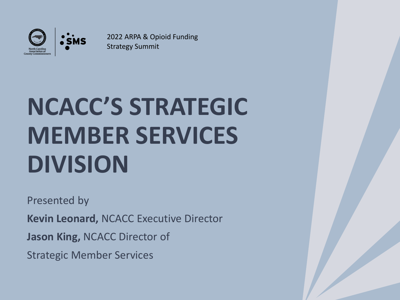

2022 ARPA & Opioid Funding Strategy Summit

# **NCACC'S STRATEGIC MEMBER SERVICES DIVISION**

Presented by **Kevin Leonard,** NCACC Executive Director **Jason King,** NCACC Director of Strategic Member Services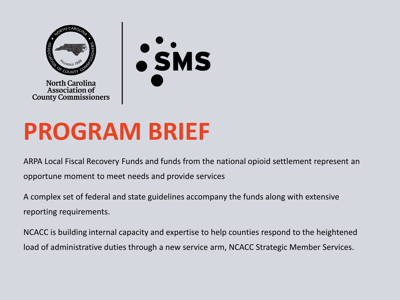

**North Carolina Association of County Commissioners** 



## **PROGRAM BRIEF**

ARPA Local Fiscal Recovery Funds and funds from the national opioid settlement represent an opportune moment to meet needs and provide services

A complex set of federal and state guidelines accompany the funds along with extensive reporting requirements.

NCACC is building internal capacity and expertise to help counties respond to the heightened load of administrative duties through a new service arm, NCACC Strategic Member Services.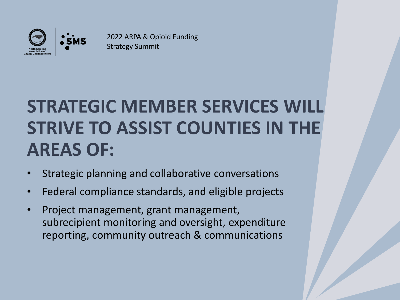

2022 ARPA & Opioid Funding Strategy Summit

### **STRATEGIC MEMBER SERVICES WILL STRIVE TO ASSIST COUNTIES IN THE AREAS OF:**

- Strategic planning and collaborative conversations
- Federal compliance standards, and eligible projects
- Project management, grant management, subrecipient monitoring and oversight, expenditure reporting, community outreach & communications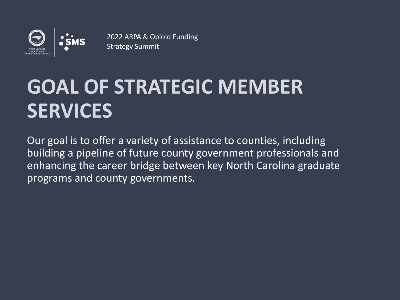

#### 2022 ARPA & Opioid Funding

## **GOAL OF STRATEGIC MEMBER SERVICES**

Our goal is to offer a variety of assistance to counties, including building a pipeline of future county government professionals and enhancing the career bridge between key North Carolina graduate programs and county governments.